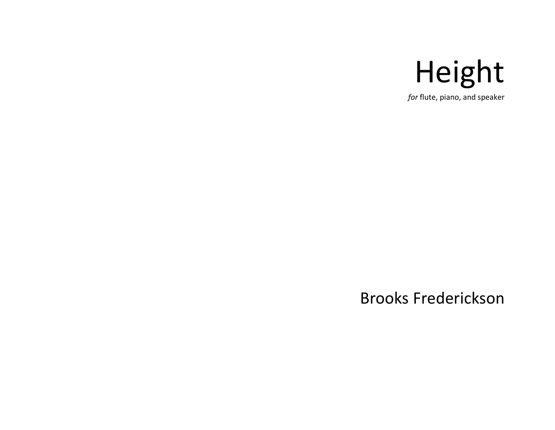

*for* flute, piano, and speaker

## Brooks Frederickson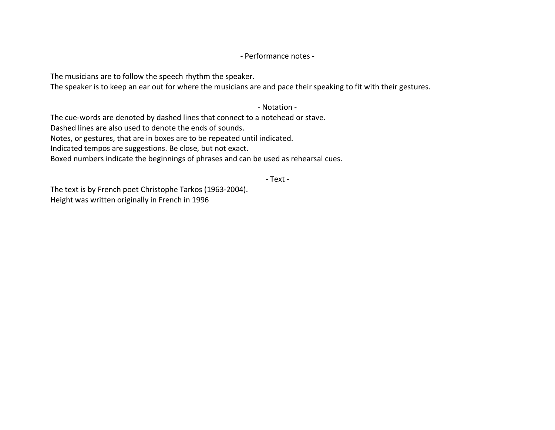## - Performance notes -

The musicians are to follow the speech rhythm the speaker.

The speaker is to keep an ear out for where the musicians are and pace their speaking to fit with their gestures.

- Notation -

The cue-words are denoted by dashed lines that connect to a notehead or stave.

Dashed lines are also used to denote the ends of sounds.

Notes, or gestures, that are in boxes are to be repeated until indicated.

Indicated tempos are suggestions. Be close, but not exact.

Boxed numbers indicate the beginnings of phrases and can be used as rehearsal cues.

- Text -

The text is by French poet Christophe Tarkos (1963-2004). Height was written originally in French in 1996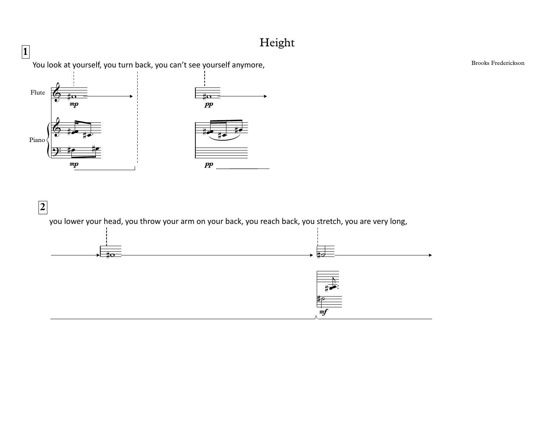## Height



 $\boxed{2}$ you lower your head, you throw your arm on your back, you reach back, you stretch, you are very long,  $m f$ 

**Brooks Frederickson**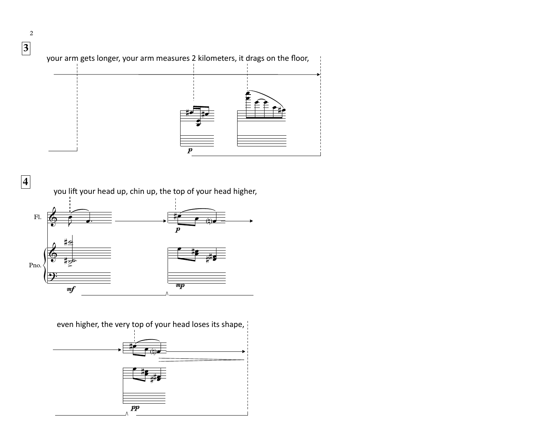

2

**4** you lift your head up, chin up, the top of your head higher,



even higher, the very top of your head loses its shape,

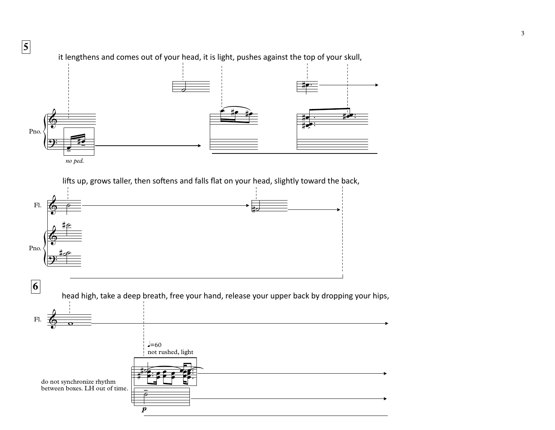

lifts up, grows taller, then softens and falls flat on your head, slightly toward the back,



it lengthens and comes out of your head, it is light, pushes against the top of your skull,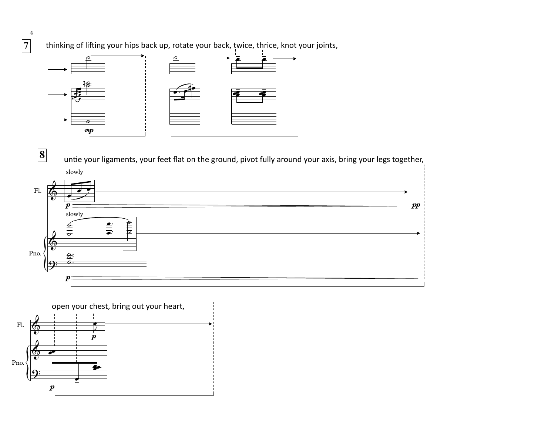thinking of lifting your hips back up, rotate your back, twice, thrice, knot your joints,



untie your ligaments, your feet flat on the ground, pivot fully around your axis, bring your legs together,





 $\overline{4}$  $\boxed{7}$ 

 $\boxed{8}$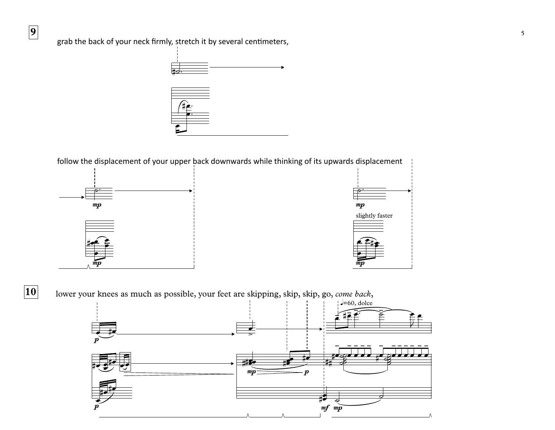

follow the displacement of your upper back downwards while thinking of its upwards displacement



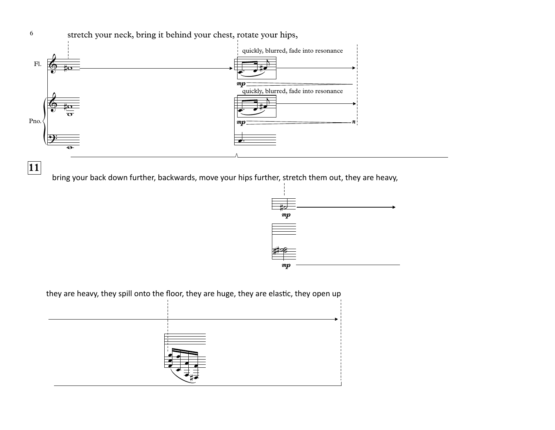

bring your back down further, backwards, move your hips further, stretch them out, they are heavy, **<sup>11</sup>**



they are heavy, they spill onto the floor, they are huge, they are elastic, they open up

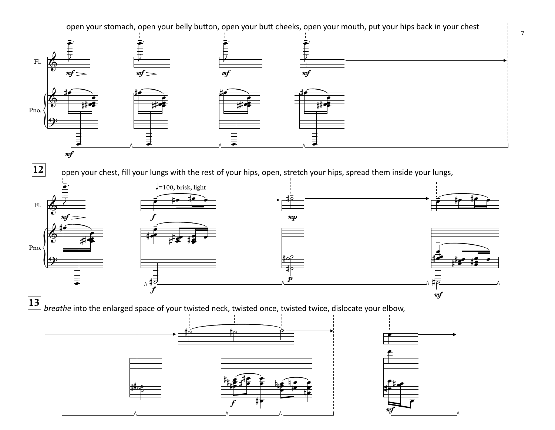open your stomach, open your belly button, open your butt cheeks, open your mouth, put your hips back in your chest

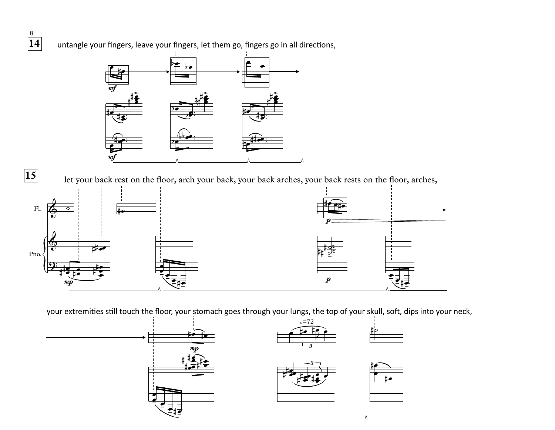

15

untangle your fingers, leave your fingers, let them go, fingers go in all directions,



let your back rest on the floor, arch your back, your back arches, your back rests on the floor, arches,



your extremities still touch the floor, your stomach goes through your lungs, the top of your skull, soft, dips into your neck,

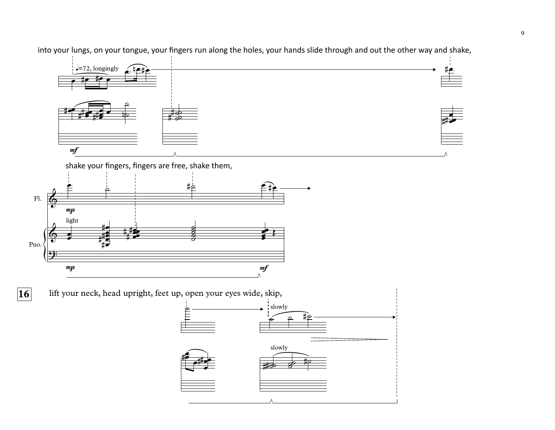into your lungs, on your tongue, your fingers run along the holes, your hands slide through and out the other way and shake,



shake your fingers, fingers are free, shake them,

 $\overline{16}$ 



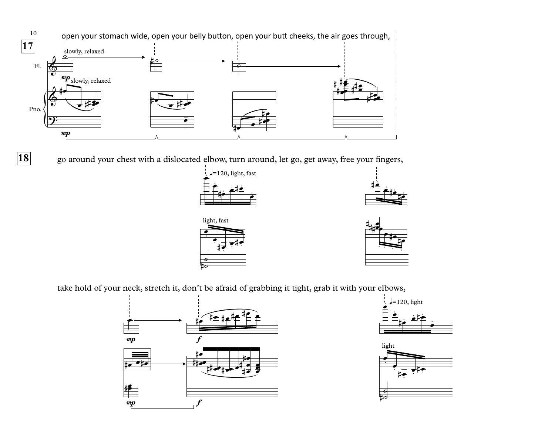

**18**

go around your chest with a dislocated elbow, turn around, let go, get away, free your fingers,









take hold of your neck, stretch it, don't be afraid of grabbing it tight, grab it with your elbows,





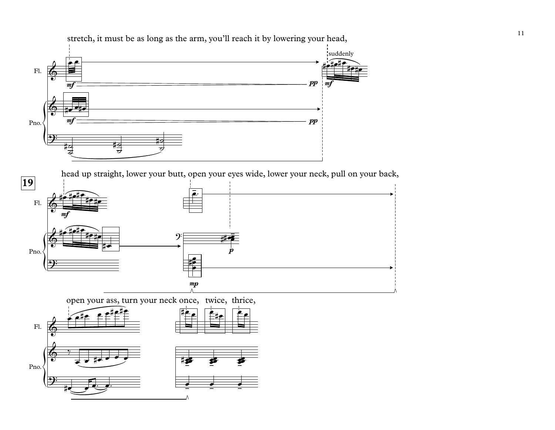

head up straight, lower your butt, open your eyes wide, lower your neck, pull on your back,



open your ass, turn your neck once, twice, thrice,

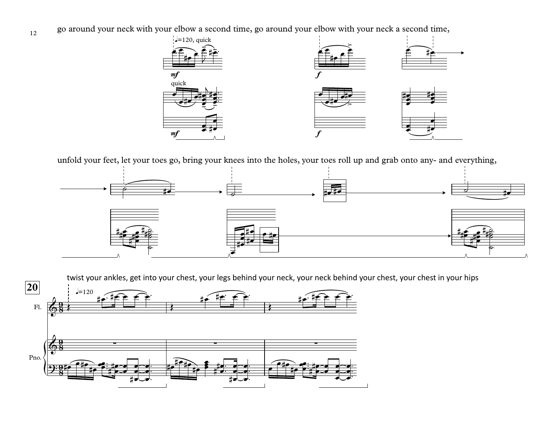go around your neck with your elbow a second time, go around your elbow with your neck a second time,

12



unfold your feet, let your toes go, bring your knees into the holes, your toes roll up and grab onto any- and everything,



twist your ankles, get into your chest, your legs behind your neck, your neck behind your chest, your chest in your hips

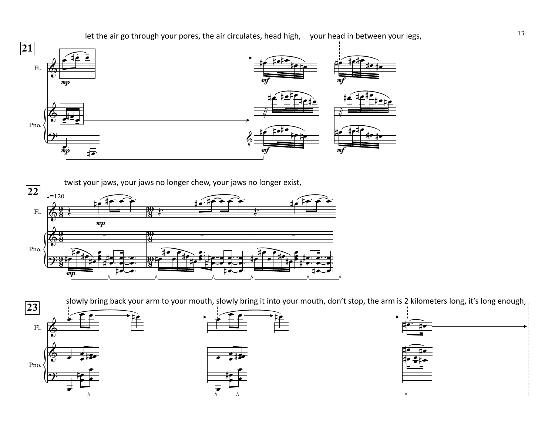





let the air go through your pores, the air circulates, head high, your head in between your legs,

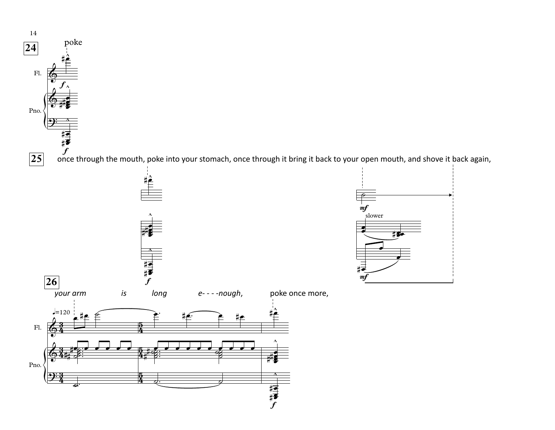

once through the mouth, poke into your stomach, once through it bring it back to your open mouth, and shove it back again,  $\frac{1}{4}$ <br> $\frac{1}{4}$ 



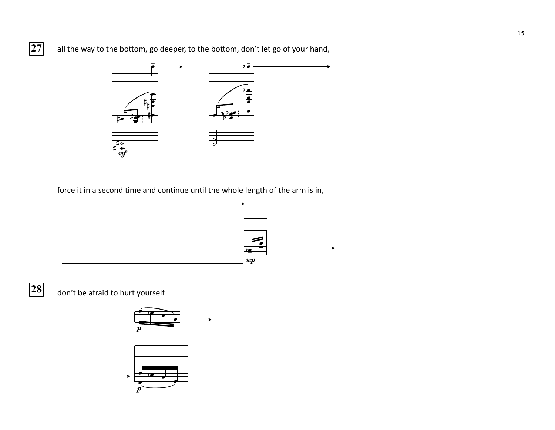

force it in a second time and continue until the whole length of the arm is in,





don't be afraid to hurt yourself

 $\begin{array}{c}\n\frac{1}{4} \\
\frac{1}{2} \\
\frac{1}{2} \\
\frac{1}{2}\n\end{array}$ 



 $\boxed{27}$ 

all the way to the bottom, go deeper, to the bottom, don't let go of your hand,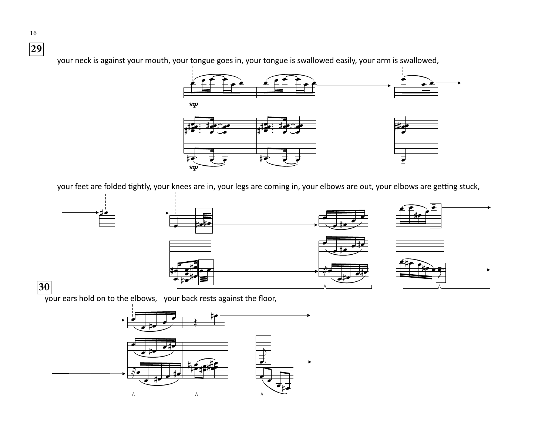your neck is against your mouth, your tongue goes in, your tongue is swallowed easily, your arm is swallowed,



your feet are folded tightly, your knees are in, your legs are coming in, your elbows are out, your elbows are getting stuck,



 $\overrightarrow{y}$  our ears hold on to the elbows, your back rests against the floor,



16  $\boxed{29}$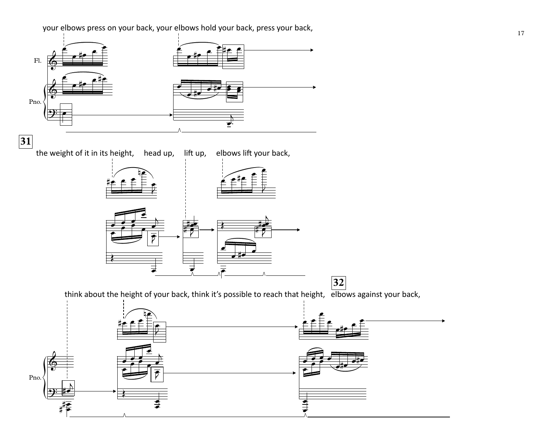your elbows press on your back, your elbows hold your back, press your back,